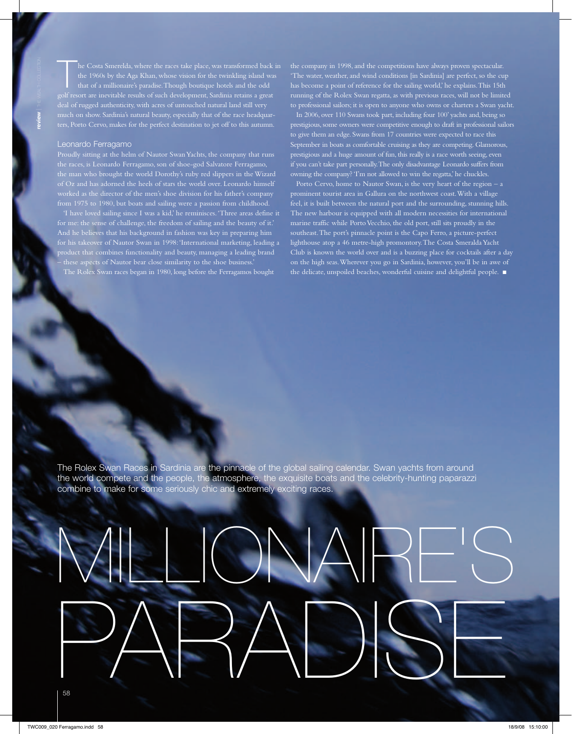$\mathsf{\bar{\Gamma}}$ he Costa Smerelda, where the races take place, was transformed back in the 1960s by the Aga Khan, whose vision for the twinkling island was that of a millionaire's paradise. Though boutique hotels and the odd golf resort are inevitable results of such development, Sardinia retains a great deal of rugged authenticity, with acres of untouched natural land still very much on show. Sardinia's natural beauty, especially that of the race headquarters, Porto Cervo, makes for the perfect destination to jet off to this autumn.

### Leonardo Ferragamo

Proudly sitting at the helm of Nautor Swan Yachts, the company that runs the races, is Leonardo Ferragamo, son of shoe-god Salvatore Ferragamo, the man who brought the world Dorothy's ruby red slippers in the Wizard ked as the director of the men's shoe division for his father's company from 1975 to 1980, but boats and sailing were a passion from childhood.

'I have loved sailing since I was a kid,' he reminisces. 'Three areas define it for me: the sense of challenge, the freedom of sailing and the beauty of it.' And he believes that his background in fashion was key in preparing him for his takeover of Nautor Swan in 1998: 'International marketing, leading a product that combines functionality and beauty, managing a leading brand – these aspects of Nautor bear close similarity to the shoe business.' The Rolex Swan races began in 1980, long before the Ferragamos bought

the company in 1998, and the competitions have always proven spectacular. 'The water, weather, and wind conditions [in Sardinia] are perfect, so the cup has become a point of reference for the sailing world,' he explains. This 15th running of the Rolex Swan regatta, as with previous races, will not be limited to professional sailors; it is open to anyone who owns or charters a Swan yacht.

In 2006, over 110 Swans took part, including four 100' yachts and, being so prestigious, some owners were competitive enough to draft in professional sailors to give them an edge. Swans from 17 countries were expected to race this September in boats as comfortable cruising as they are competing. Glamorous, prestigious and a huge amount of fun, this really is a race worth seeing, even if you can't take part personally. The only disadvantage Leonardo suffers from owning the company? 'I'm not allowed to win the regatta,' he chuckles.

Porto Cervo, home to Nautor Swan, is the very heart of the region – a prominent tourist area in Gallura on the northwest coast. With a village feel, it is built between the natural port and the surrounding, stunning hills. The new harbour is equipped with all modern necessities for international marine traffic while Porto Vecchio, the old port, still sits proudly in the southeast. The port's pinnacle point is the Capo Ferro, a picture-perfect lighthouse atop a 46 metre-high promontory. The Costa Smeralda Yacht Club is known the world over and is a buzzing place for cocktails after a day on the high seas. Wherever you go in Sardinia, however, you'll be in awe of the delicate, unspoiled beaches, wonderful cuisine and delightful people. ■

The Rolex Swan Races in Sardinia are the pinnacle of the global sailing calendar. Swan yachts from around the world compete and the people, the atmosphere, the exquisite boats and the celebrity-hunting paparazzi combine to make for some seriously chic and extremely exciting races.

# Millionaire's PARADISE